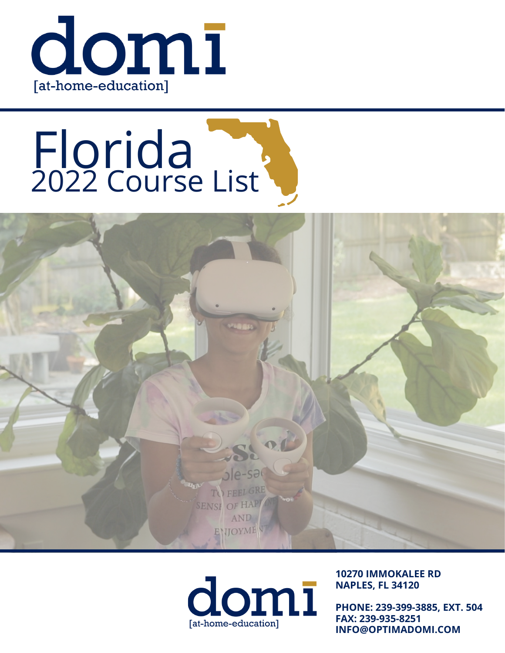

# Florida 2022 Course List





**10270 IMMOKALEE RD NAPLES, FL 34120**

**PHONE: 239-399-3885, EXT. 504 FAX: 239-935-8251 INFO@OPTIMADOMI.COM**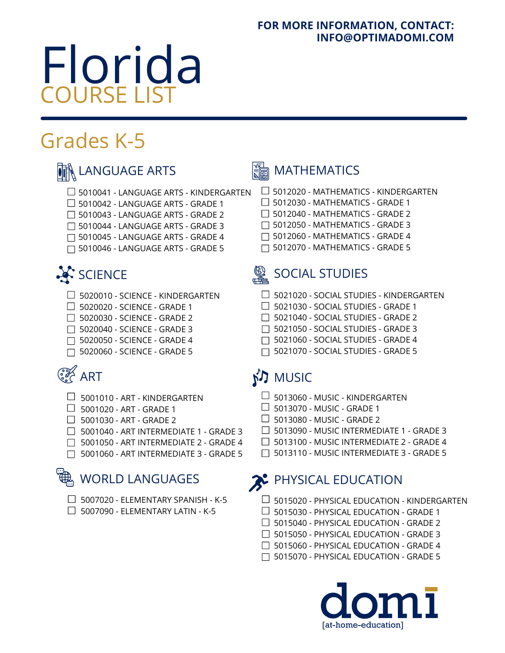### **FOR MORE INFORMATION, CONTACT: INFO@OPTIMADOMI.COM**

# Florida COURSE LIST

# Grades K-5

### $\frac{1}{\sqrt{2}}$  LANGUAGE ARTS  $\frac{1}{\sqrt{2}}$  MATHEMATICS

- 5012020 MATHEMATICS KINDERGARTEN
- $\Box$  5012030 MATHEMATICS GRADE 1
- $\Box$  5012040 MATHEMATICS GRADE 2
- $\Box$  5012050 MATHEMATICS GRADE 3
- $\Box$  5012060 MATHEMATICS GRADE 4
- 5012070 MATHEMATICS GRADE 5

 $\Box$  5020010 - SCIENCE - KINDERGARTEN

5010041 - LANGUAGE ARTS - KINDERGARTEN

 $\Box$  5010042 - LANGUAGE ARTS - GRADE 1 □ 5010043 - LANGUAGE ARTS - GRADE 2 5010044 - LANGUAGE ARTS - GRADE 3 5010045 - LANGUAGE ARTS - GRADE 4 5010046 - LANGUAGE ARTS - GRADE 5

- $\Box$  5020020 SCIENCE GRADE 1
- □ 5020030 SCIENCE GRADE 2
- □ 5020040 SCIENCE GRADE 3
- 5020050 SCIENCE GRADE 4
- □ 5020060 SCIENCE GRADE 5

## **EX** ART

- $\Box$  5001010 ART KINDERGARTEN
- $\Box$  5001020 ART GRADE 1
- $\Box$  5001030 ART GRADE 2
- 5001040 ART INTERMEDIATE 1 GRADE 3
- □ 5001050 ART INTERMEDIATE 2 GRADE 4
- 5001060 ART INTERMEDIATE 3 GRADE 5

### WORLD LANGUAGES

- $\Box$  5007020 ELEMENTARY SPANISH K-5
- $\Box$  5007090 ELEMENTARY LATIN K-5

### SCIENCE SOCIAL STUDIES

- $\Box$  5021020 SOCIAL STUDIES KINDERGARTEN
- $\Box$  5021030 SOCIAL STUDIES GRADE 1
- 5021040 SOCIAL STUDIES GRADE 2
- 5021050 SOCIAL STUDIES GRADE 3
- □ 5021060 SOCIAL STUDIES GRADE 4
- □ 5021070 SOCIAL STUDIES GRADE 5

### **SJ MUSIC**

- $\Box$  5013060 MUSIC KINDERGARTEN
- $\Box$  5013070 MUSIC GRADE 1
- $\Box$  5013080 MUSIC GRADE 2
- 5013090 MUSIC INTERMEDIATE 1 GRADE 3
- 5013100 MUSIC INTERMEDIATE 2 GRADE 4
- 5013110 MUSIC INTERMEDIATE 3 GRADE 5

### PHYSICAL EDUCATION

- $\Box$  5015020 PHYSICAL EDUCATION KINDERGARTEN
- $\Box$  5015030 PHYSICAL EDUCATION GRADE 1
- $\Box$  5015040 PHYSICAL EDUCATION GRADE 2
- □ 5015050 PHYSICAL EDUCATION GRADE 3
- 5015060 PHYSICAL EDUCATION GRADE 4
- 5015070 PHYSICAL EDUCATION GRADE 5